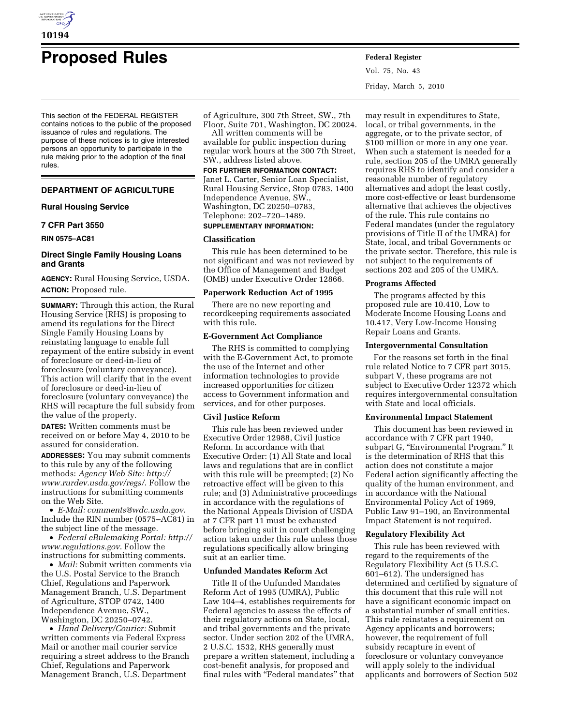

# **Proposed Rules Federal Register**

This section of the FEDERAL REGISTER contains notices to the public of the proposed issuance of rules and regulations. The purpose of these notices is to give interested persons an opportunity to participate in the rule making prior to the adoption of the final rules.

# **DEPARTMENT OF AGRICULTURE**

# **Rural Housing Service**

# **7 CFR Part 3550**

**RIN 0575–AC81** 

# **Direct Single Family Housing Loans and Grants**

**AGENCY:** Rural Housing Service, USDA. **ACTION:** Proposed rule.

**SUMMARY:** Through this action, the Rural Housing Service (RHS) is proposing to amend its regulations for the Direct Single Family Housing Loans by reinstating language to enable full repayment of the entire subsidy in event of foreclosure or deed-in-lieu of foreclosure (voluntary conveyance). This action will clarify that in the event of foreclosure or deed-in-lieu of foreclosure (voluntary conveyance) the RHS will recapture the full subsidy from the value of the property.

**DATES:** Written comments must be received on or before May 4, 2010 to be assured for consideration.

**ADDRESSES:** You may submit comments to this rule by any of the following methods: *Agency Web Site: http:// www.rurdev.usda.gov/regs/*. Follow the instructions for submitting comments on the Web Site.

• *E-Mail: comments@wdc.usda.gov*. Include the RIN number (0575–AC81) in the subject line of the message.

• *Federal eRulemaking Portal: http:// www.regulations.gov*. Follow the instructions for submitting comments.

• *Mail:* Submit written comments via the U.S. Postal Service to the Branch Chief, Regulations and Paperwork Management Branch, U.S. Department of Agriculture, STOP 0742, 1400 Independence Avenue, SW., Washington, DC 20250–0742.

• *Hand Delivery/Courier:* Submit written comments via Federal Express Mail or another mail courier service requiring a street address to the Branch Chief, Regulations and Paperwork Management Branch, U.S. Department

of Agriculture, 300 7th Street, SW., 7th Floor, Suite 701, Washington, DC 20024.

All written comments will be available for public inspection during

regular work hours at the 300 7th Street, SW., address listed above. **FOR FURTHER INFORMATION CONTACT:** 

Janet L. Carter, Senior Loan Specialist,

Rural Housing Service, Stop 0783, 1400 Independence Avenue, SW., Washington, DC 20250–0783, Telephone: 202–720–1489.

# **SUPPLEMENTARY INFORMATION:**

# **Classification**

This rule has been determined to be not significant and was not reviewed by the Office of Management and Budget (OMB) under Executive Order 12866.

# **Paperwork Reduction Act of 1995**

There are no new reporting and recordkeeping requirements associated with this rule.

# **E-Government Act Compliance**

The RHS is committed to complying with the E-Government Act, to promote the use of the Internet and other information technologies to provide increased opportunities for citizen access to Government information and services, and for other purposes.

## **Civil Justice Reform**

This rule has been reviewed under Executive Order 12988, Civil Justice Reform. In accordance with that Executive Order: (1) All State and local laws and regulations that are in conflict with this rule will be preempted; (2) No retroactive effect will be given to this rule; and (3) Administrative proceedings in accordance with the regulations of the National Appeals Division of USDA at 7 CFR part 11 must be exhausted before bringing suit in court challenging action taken under this rule unless those regulations specifically allow bringing suit at an earlier time.

#### **Unfunded Mandates Reform Act**

Title II of the Unfunded Mandates Reform Act of 1995 (UMRA), Public Law 104–4, establishes requirements for Federal agencies to assess the effects of their regulatory actions on State, local, and tribal governments and the private sector. Under section 202 of the UMRA, 2 U.S.C. 1532, RHS generally must prepare a written statement, including a cost-benefit analysis, for proposed and final rules with "Federal mandates" that

Vol. 75, No. 43 Friday, March 5, 2010

may result in expenditures to State, local, or tribal governments, in the aggregate, or to the private sector, of \$100 million or more in any one year. When such a statement is needed for a rule, section 205 of the UMRA generally requires RHS to identify and consider a reasonable number of regulatory alternatives and adopt the least costly, more cost-effective or least burdensome alternative that achieves the objectives of the rule. This rule contains no Federal mandates (under the regulatory provisions of Title II of the UMRA) for State, local, and tribal Governments or the private sector. Therefore, this rule is not subject to the requirements of sections 202 and 205 of the UMRA.

#### **Programs Affected**

The programs affected by this proposed rule are 10.410, Low to Moderate Income Housing Loans and 10.417, Very Low-Income Housing Repair Loans and Grants.

#### **Intergovernmental Consultation**

For the reasons set forth in the final rule related Notice to 7 CFR part 3015, subpart V, these programs are not subject to Executive Order 12372 which requires intergovernmental consultation with State and local officials.

## **Environmental Impact Statement**

This document has been reviewed in accordance with 7 CFR part 1940, subpart G, "Environmental Program." It is the determination of RHS that this action does not constitute a major Federal action significantly affecting the quality of the human environment, and in accordance with the National Environmental Policy Act of 1969, Public Law 91–190, an Environmental Impact Statement is not required.

## **Regulatory Flexibility Act**

This rule has been reviewed with regard to the requirements of the Regulatory Flexibility Act (5 U.S.C. 601–612). The undersigned has determined and certified by signature of this document that this rule will not have a significant economic impact on a substantial number of small entities. This rule reinstates a requirement on Agency applicants and borrowers; however, the requirement of full subsidy recapture in event of foreclosure or voluntary conveyance will apply solely to the individual applicants and borrowers of Section 502